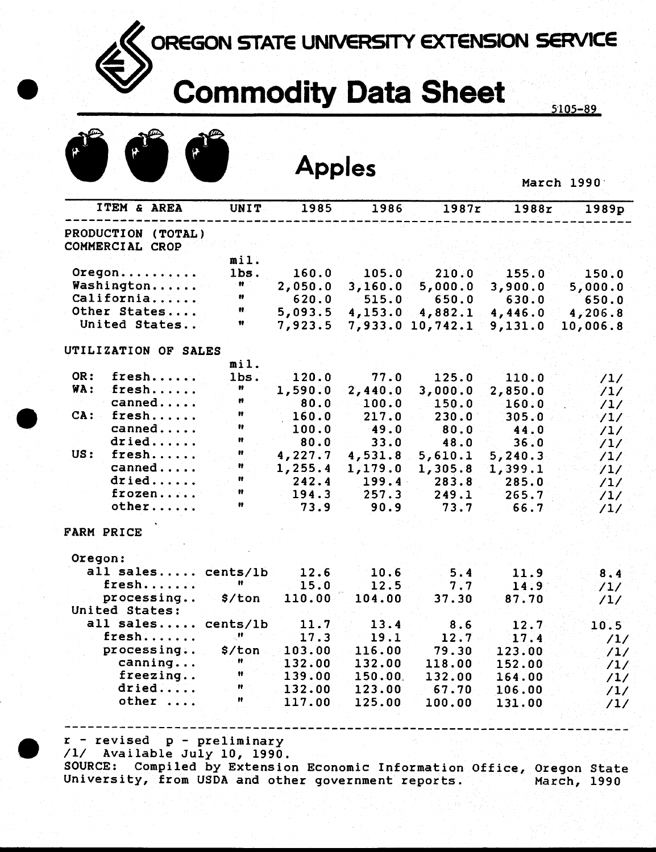## OREGON STATE UNIVERSITY EXTENSION SERVICE

## Commodity Data Sheet

|  |  | <b>Apples</b> |
|--|--|---------------|
|  |  |               |

| March 1990 |  |  |
|------------|--|--|
|            |  |  |

| PRODUCTION (TOTAL)<br>COMMERCIAL CROP<br>Oregon | mil.                             |         |                  |                     |               |              |
|-------------------------------------------------|----------------------------------|---------|------------------|---------------------|---------------|--------------|
|                                                 |                                  |         |                  |                     |               |              |
|                                                 |                                  |         |                  |                     |               |              |
|                                                 |                                  |         |                  |                     |               |              |
|                                                 | lbs.                             | 160.0   | 105.0            | 210.0               | 155.0         | 150.0        |
| Washington                                      | $\mathbf{u}$                     | 2,050.0 | 3,160.0          | 5,000.0             | 3,900.0       | 5,000.0      |
| California                                      | Ħ                                | 620.0   | 515.0            | 650.0               | 630.0         | 650.0        |
| Other States                                    | Ħ.                               | 5,093.5 | 4,153.0          | 4,882.1             | 4,446.0       | 4,206.8      |
| United States                                   | Ħ                                | 7,923.5 |                  | 7,933.0 10,742.1    | 9,131.0       | 10,006.8     |
| UTILIZATION OF SALES                            |                                  |         |                  |                     |               |              |
|                                                 | mil.                             |         |                  |                     |               |              |
| OR:<br>${\tt fresh}\ldots\ldots$                | lbs.                             | 120.0   | 77.0             | 125.0               | 110.0         | /1/          |
| WA:<br>fresh                                    | Ħ                                | 1,590.0 | 2,440.0          | 3,000.0             | 2,850.0       | /1/          |
| canned                                          | n                                | 80.0    | 100.0            | 150.0               | 160.0         | /1/          |
| CA:<br>fresh                                    | $\mathbf{u}$                     | 160.0   | 217.0            | 230.0               | 305.0         | /1/          |
| canned                                          | Ħ.                               | 100.0   | 49.0             | 80.0                | 44.0          |              |
| dried                                           | $\mathbf{H}$                     | 80.0    | 33.0             | 48.0                | 36.0          | /1/          |
| US:<br>fresh                                    | $\pmb{v}$                        | 4,227.7 | 4,531.8          |                     |               | /1/          |
| canned                                          | Ħ                                | 1,255.4 |                  | 5,610.1             | 5, 240.3      | /1/          |
| dried                                           | Ħ                                | 242.4   | 1,179.0<br>199.4 | 1,305.8             | 1,399.1       | /1/          |
| frozen                                          | $\pmb{v}$                        | 194.3   | 257.3            | 283.8               | 285.0         | /1/          |
| other                                           | $\mathbf{H}$                     | 73.9    | 90.9             | 249.1<br>73.7       | 265.7         | /1/          |
|                                                 |                                  |         |                  |                     | $-66.7$       | /1/          |
| <b>FARM PRICE</b>                               |                                  |         |                  |                     |               |              |
| Oregon:                                         |                                  |         |                  |                     |               |              |
| all sales cents/lb                              |                                  | 12.6    | 10.6             | 5.4                 | 11.9          | 8.4          |
| fresh                                           | Ħ                                | 15.0    | 12.5             | 7.7                 | 14.97         | /1/          |
| processing                                      | \$/ton                           | 110.00  | 104.00           | 37.30               | 87.70         | /1/          |
| United States:                                  |                                  |         |                  |                     |               |              |
| all sales cents/lb                              |                                  | 11.7    | 13.4             | 8.6                 | 12.7          | 10.5         |
| fresh                                           | $\mathbf{H}_1$                   | 17.3    | 19.1             | $12.7 -$            | 17.4          | /1/          |
| processing                                      | \$/ton                           | 103.00  | 116.00           | 79.30               | 123.00        | $\sqrt{1/2}$ |
| canning                                         | n                                | 132.00  | 132.00           | 118.00              | 152.00        | /1/          |
| freezing                                        | $\pmb{\mathcal{H}}$              | 139.00  | 150.00           | 132.00              | 164.00        | /1/          |
| $dried$                                         | $\mathcal{L}_{\text{max}}$ , and | 132.00  |                  | 123.00 67.70 106.00 |               |              |
| $other \dots$                                   | n                                |         | 117.00 125.00    |                     | 100.00 131.00 | /1/<br>/1/   |
|                                                 |                                  |         |                  |                     |               |              |
|                                                 |                                  |         |                  |                     |               |              |